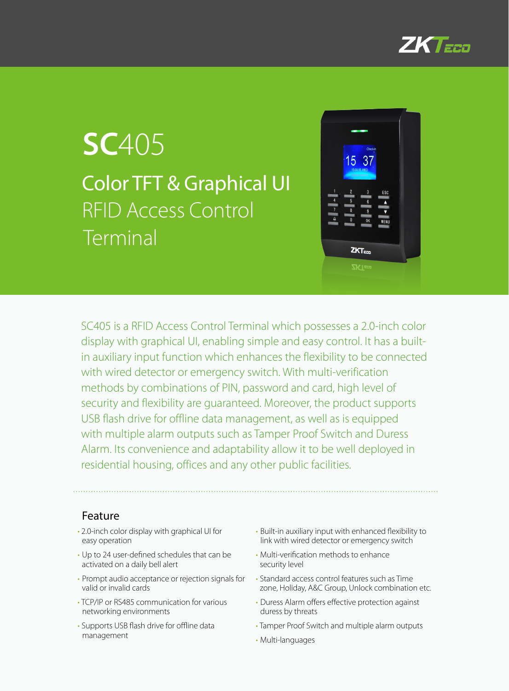

# **SC**405 Color TFT & Graphical UI RFID Access Control Terminal



SC405 is a RFID Access Control Terminal which possesses a 2.0-inch color display with graphical UI, enabling simple and easy control. It has a builtin auxiliary input function which enhances the flexibility to be connected with wired detector or emergency switch. With multi-verification methods by combinations of PIN, password and card, high level of security and flexibility are guaranteed. Moreover, the product supports USB flash drive for offline data management, as well as is equipped with multiple alarm outputs such as Tamper Proof Switch and Duress Alarm. Its convenience and adaptability allow it to be well deployed in residential housing, offices and any other public facilities.

### Feature

- 2.0-inch color display with graphical UI for easy operation
- Up to 24 user-defined schedules that can be activated on a daily bell alert
- Prompt audio acceptance or rejection signals for valid or invalid cards
- TCP/IP or RS485 communication for various networking environments
- Supports USB flash drive for offline data management
- Built-in auxiliary input with enhanced flexibility to link with wired detector or emergency switch
- Multi-verification methods to enhance security level
- Standard access control features such as Time zone, Holiday, A&C Group, Unlock combination etc.
- Duress Alarm offers effective protection against duress by threats
- Tamper Proof Switch and multiple alarm outputs
- Multi-languages